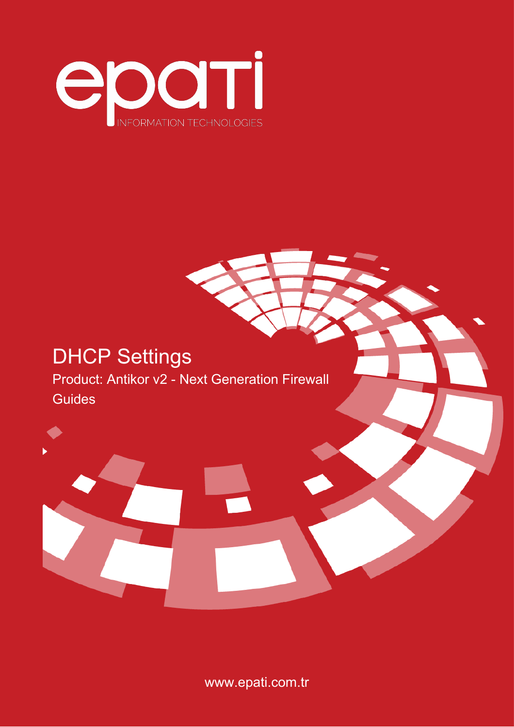

# DHCP Settings Product: Antikor v2 - Next Generation Firewall

Guides



www.epati.com.tr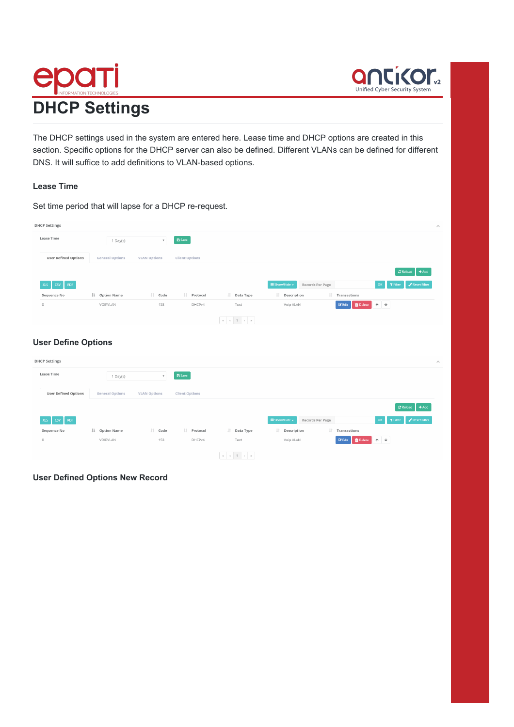



The DHCP settings used in the system are entered here. Lease time and DHCP options are created in this section. Specific options for the DHCP server can also be defined. Different VLANs can be defined for different DNS. It will suffice to add definitions to VLAN-based options.

#### **Lease Time**

| <b>DHCP Settings</b>                               |                        |                           |                       |                                        |                       |                                      |                                                                                                            | $\mathcal{O}_2$             |
|----------------------------------------------------|------------------------|---------------------------|-----------------------|----------------------------------------|-----------------------|--------------------------------------|------------------------------------------------------------------------------------------------------------|-----------------------------|
| Lease Time                                         | 1 Day(s)               | $\mathbf{v}$              | <b>E</b> Save         |                                        |                       |                                      |                                                                                                            |                             |
| <b>User Defined Options</b>                        | <b>General Options</b> | <b>VLAN Options</b>       | <b>Client Options</b> |                                        |                       |                                      |                                                                                                            |                             |
|                                                    |                        |                           |                       |                                        |                       |                                      | $\mathcal C$ Reload                                                                                        | $+$ Add                     |
| PDF<br>CSV<br><b>XLS</b>                           |                        |                           |                       |                                        | <b>⊞</b> Show/Hide ▼  | Records Per Page                     | $\mathsf{OK}% _{\mathsf{CL}}\times\mathsf{CK}_{\mathsf{CL}}^{\mathsf{CL}}(\mathsf{CL})$<br><b>T</b> Filter | Reset Filter                |
| Sequence No                                        | ↓ Option Name          | $\ \cdot\ $ Code          | I Protocol            | I Data Type                            | I Description         | I Transactions                       |                                                                                                            |                             |
| $\circ$                                            | <b>VOIPVLAN</b>        | 153                       | DHCPv4                | Text                                   | Voip VLAN             | <b>T</b> Delete<br>$\mathbb{Z}$ Edit | $+$ $+$                                                                                                    |                             |
|                                                    |                        |                           |                       | $\kappa=\epsilon-1\rightarrow -\infty$ |                       |                                      |                                                                                                            |                             |
| <b>User Define Options</b><br><b>DHCP Settings</b> |                        |                           |                       |                                        |                       |                                      |                                                                                                            | $\mathcal{L}_{\mathcal{A}}$ |
|                                                    |                        |                           |                       |                                        |                       |                                      |                                                                                                            |                             |
| Lease Time                                         | 1 Day(s)               | $\boldsymbol{\mathrm{v}}$ | <b>B</b> Save         |                                        |                       |                                      |                                                                                                            |                             |
| <b>User Defined Options</b>                        | <b>General Options</b> | <b>VLAN Options</b>       | <b>Client Options</b> |                                        |                       |                                      |                                                                                                            |                             |
|                                                    |                        |                           |                       |                                        |                       |                                      | $\mathcal C$ Reload                                                                                        | $+$ Add                     |
|                                                    |                        |                           |                       |                                        | <b>EB</b> Show/Hide ▼ | Records Per Page                     | OK<br><b>T</b> Filter                                                                                      |                             |
| <b>CSV</b><br>PDF<br>XLS:                          |                        |                           |                       |                                        |                       |                                      |                                                                                                            | Reset Filter                |
| Sequence No                                        | ↓ Option Name          | I Code                    | IT Protocol           | I Data Type                            | I Description         | I Transactions                       |                                                                                                            |                             |
| $\mathbb O$                                        | <b>VOIPVLAN</b>        | 153                       | DHCPv4                | Text                                   | Voip VLAN             | <b>T</b> Delete<br><b>Z</b> Edit     | $+$                                                                                                        |                             |

Set time period that will lapse for a DHCP re-request.

**User Defined Options New Record**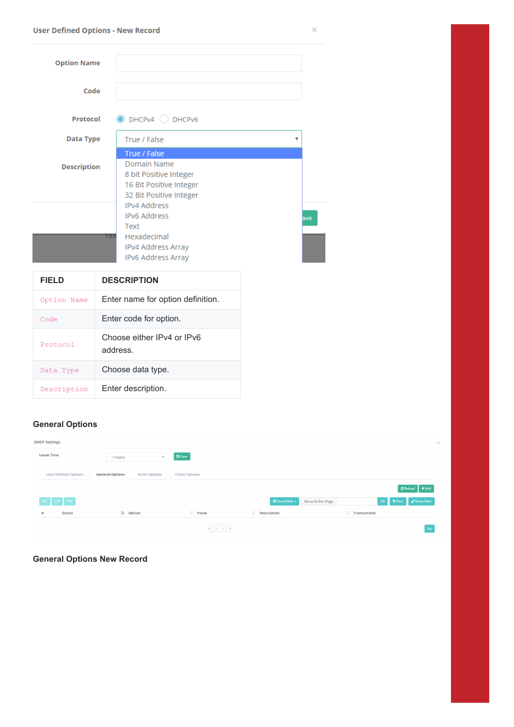| <b>Option Name</b> |                                                                                                             |   |     |
|--------------------|-------------------------------------------------------------------------------------------------------------|---|-----|
| Code               |                                                                                                             |   |     |
| Protocol           | DHCPv4 DHCPv6                                                                                               |   |     |
| <b>Data Type</b>   | True / False                                                                                                | v |     |
| <b>Description</b> | True / False<br>Domain Name<br>8 bit Positive Integer<br>16 Bit Positive Integer<br>32 Bit Positive Integer |   |     |
| 153                | <b>IPv4 Address</b><br><b>IPv6 Address</b><br>Text<br>Hexadecimal                                           |   | ave |
|                    | IPv4 Address Array<br>IPv6 Address Array                                                                    |   |     |
| EIEI N             | <b>DECCOIDTION</b>                                                                                          |   |     |

| FIFLD       | <b>DESCRIPTION</b>                     |
|-------------|----------------------------------------|
| Option Name | Enter name for option definition.      |
| Code        | Enter code for option.                 |
| Protocol    | Choose either IPv4 or IPv6<br>address. |
| Data Type   | Choose data type.                      |
| Description | Enter description.                     |

#### **General Options**

I

| <b>DHCP Settings</b>        |                                               |                       |                                                                                                                                                                                                                                                                                                                                                                                     |                          | s                                  |
|-----------------------------|-----------------------------------------------|-----------------------|-------------------------------------------------------------------------------------------------------------------------------------------------------------------------------------------------------------------------------------------------------------------------------------------------------------------------------------------------------------------------------------|--------------------------|------------------------------------|
| Lease Time                  | 1 Day(s)                                      | <b>E</b> Save         |                                                                                                                                                                                                                                                                                                                                                                                     |                          |                                    |
| <b>User Defined Options</b> | <b>General Options</b><br><b>VLAN Options</b> | <b>Client Options</b> |                                                                                                                                                                                                                                                                                                                                                                                     |                          |                                    |
|                             |                                               |                       |                                                                                                                                                                                                                                                                                                                                                                                     |                          | $\bigcirc$ Reload + Add            |
| XLS CSV PDF                 |                                               |                       | ■ Show/Hide <del>v</del>                                                                                                                                                                                                                                                                                                                                                            | Records Per Page         | OK <b>T</b> Filter<br>Reset Filter |
| Status<br>$\#$              | Li Option                                     | I Value               | Jî.<br>Description                                                                                                                                                                                                                                                                                                                                                                  | $\ \cdot\ $ Transactions |                                    |
|                             |                                               |                       | $\begin{array}{ c c c c c c c } \hline \begin{array}{ c c c c c c } \hline \begin{array}{ c c c c c } \hline \begin{array}{ c c c c c } \hline \begin{array}{ c c c c c } \hline \begin{array}{ c c c c c } \hline \begin{array}{ c c c c c } \hline \begin{array}{ c c c c c } \hline \begin{array}{ c c c c c } \hline \begin{array}{ c c c c c } \hline \begin{array}{ c c c c $ |                          | Go                                 |

**General Options New Record**

 $\times$ 

ŋ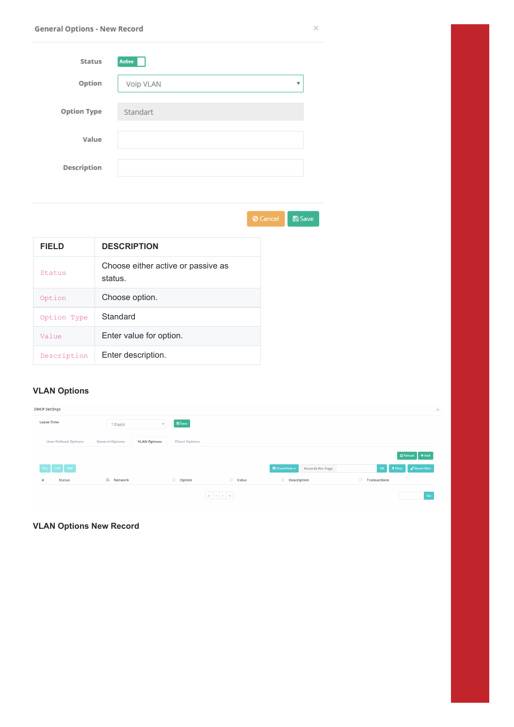| <b>Status</b>      | Active                |
|--------------------|-----------------------|
| <b>Option</b>      | <b>Voip VLAN</b><br>v |
| <b>Option Type</b> | Standart              |
| Value              |                       |
| <b>Description</b> |                       |
|                    |                       |

O Cancel **B** Save

| <b>FIELD</b> | <b>DESCRIPTION</b>                            |
|--------------|-----------------------------------------------|
| Status       | Choose either active or passive as<br>status. |
| Option       | Choose option.                                |
| Option Type  | Standard                                      |
| Value        | Enter value for option.                       |
| Description  | Enter description.                            |

## **VLAN Options**

| <b>DHCP Settings</b>        |                        |                     |                       |                                    |                          |                  |                       | $\mathcal{A}$                      |
|-----------------------------|------------------------|---------------------|-----------------------|------------------------------------|--------------------------|------------------|-----------------------|------------------------------------|
| Lease Time                  | 1 Day(s)               |                     | <b>E</b> Save         |                                    |                          |                  |                       |                                    |
| <b>User Defined Options</b> | <b>General Options</b> | <b>VLAN Options</b> | <b>Client Options</b> |                                    |                          |                  |                       |                                    |
|                             |                        |                     |                       |                                    |                          |                  |                       | CReload + Add                      |
| XLS CSV PDF                 |                        |                     |                       |                                    | ■ Show/Hide <del>v</del> | Records Per Page | OK<br><b>T</b> Filter | $\blacktriangleright$ Reset Filter |
| Status<br>#                 | ↓ Network              |                     | I Option              | 圹<br>Value                         | I Description            |                  | Jî<br>Transactions    |                                    |
|                             |                        |                     |                       | $\kappa=\epsilon \rightarrow -\pi$ |                          |                  |                       | Go                                 |

**VLAN Options New Record**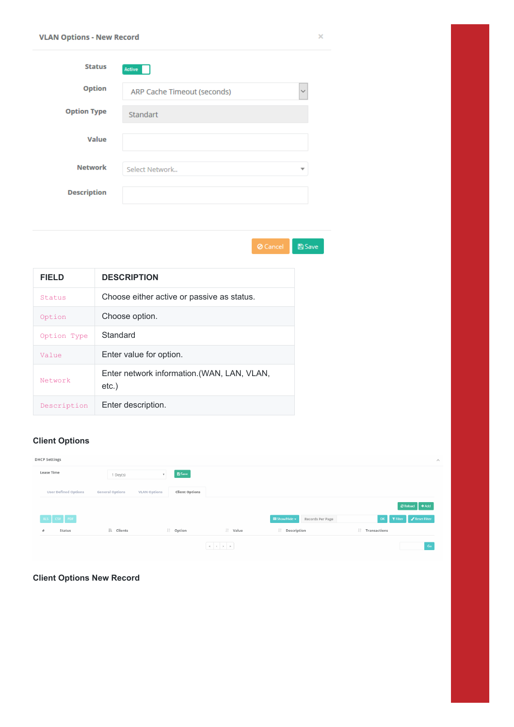| <b>Status</b>      | Active                                      |
|--------------------|---------------------------------------------|
| <b>Option</b>      | ARP Cache Timeout (seconds)<br>$\checkmark$ |
| <b>Option Type</b> | Standart                                    |
| Value              |                                             |
| <b>Network</b>     | Select Network<br>$\overline{\phantom{a}}$  |
| <b>Description</b> |                                             |



| <b>FIELD</b> | <b>DESCRIPTION</b>                                   |
|--------------|------------------------------------------------------|
| Status       | Choose either active or passive as status.           |
| Option       | Choose option.                                       |
| Option Type  | Standard                                             |
| Value        | Enter value for option.                              |
| Network      | Enter network information. (WAN, LAN, VLAN,<br>etc.) |
| Description  | Enter description.                                   |

### **Client Options**

| <b>DHCP Settings</b>        |                           |                     |                       |                              |                                                           |                  |                     |                    |                                    |
|-----------------------------|---------------------------|---------------------|-----------------------|------------------------------|-----------------------------------------------------------|------------------|---------------------|--------------------|------------------------------------|
| <b>Lease Time</b>           | 1 Day(s)                  | $\mathbf{v}$        | <b>B</b> Save         |                              |                                                           |                  |                     |                    |                                    |
| <b>User Defined Options</b> | <b>General Options</b>    | <b>VLAN Options</b> | <b>Client Options</b> |                              |                                                           |                  |                     |                    |                                    |
|                             |                           |                     |                       |                              |                                                           |                  |                     |                    | CReload + Add                      |
| XLS CSV PDF                 |                           |                     |                       |                              | $\overline{\mathbf{m}}$ Show/Hide $\overline{\mathbf{v}}$ | Records Per Page |                     | OK <b>T</b> Filter | $\blacktriangleright$ Reset Filter |
| Status<br>#                 | $\mathbb{H}$ .<br>Clients |                     | I Option              | I Value                      | Jî<br>Description                                         |                  | Iî.<br>Transactions |                    |                                    |
|                             |                           |                     |                       | $\alpha = \beta = \beta = n$ |                                                           |                  |                     |                    | $\mathsf{Go}$                      |

**Client Options New Record**